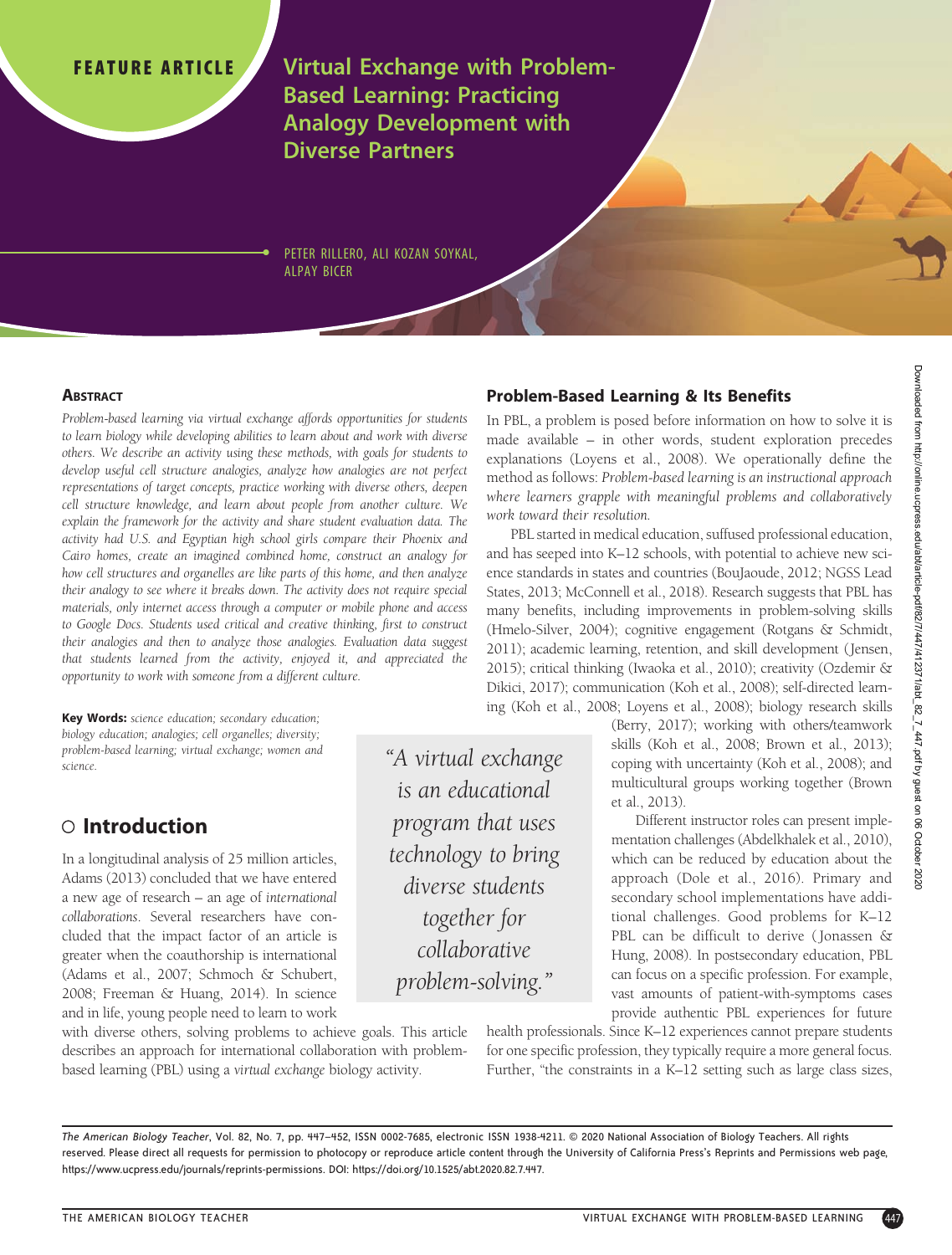FEATURE ARTICLE Virtual Exchange with Problem-Based Learning: Practicing Analogy Development with Diverse Partners

> PETER RILLERO, ALI KOZAN SOYKAL, ALPAY BICER

#### **ABSTRACT**

Problem-based learning via virtual exchange affords opportunities for students to learn biology while developing abilities to learn about and work with diverse others. We describe an activity using these methods, with goals for students to develop useful cell structure analogies, analyze how analogies are not perfect representations of target concepts, practice working with diverse others, deepen cell structure knowledge, and learn about people from another culture. We explain the framework for the activity and share student evaluation data. The activity had U.S. and Egyptian high school girls compare their Phoenix and Cairo homes, create an imagined combined home, construct an analogy for how cell structures and organelles are like parts of this home, and then analyze their analogy to see where it breaks down. The activity does not require special materials, only internet access through a computer or mobile phone and access to Google Docs. Students used critical and creative thinking, first to construct their analogies and then to analyze those analogies. Evaluation data suggest that students learned from the activity, enjoyed it, and appreciated the opportunity to work with someone from a different culture.

Key Words: science education; secondary education; biology education; analogies; cell organelles; diversity; problem-based learning; virtual exchange; women and science.

## $\circ$  Introduction

In a longitudinal analysis of 25 million articles, Adams (2013) concluded that we have entered a new age of research – an age of international collaborations. Several researchers have concluded that the impact factor of an article is greater when the coauthorship is international (Adams et al., 2007; Schmoch & Schubert, 2008; Freeman & Huang, 2014). In science and in life, young people need to learn to work

with diverse others, solving problems to achieve goals. This article describes an approach for international collaboration with problembased learning (PBL) using a virtual exchange biology activity.

# "A virtual exchange is an educational program that uses technology to bring diverse students together for collaborative problem-solving."

Problem-Based Learning & Its Benefits

In PBL, a problem is posed before information on how to solve it is made available – in other words, student exploration precedes explanations (Loyens et al., 2008). We operationally define the method as follows: Problem-based learning is an instructional approach where learners grapple with meaningful problems and collaboratively work toward their resolution.

PBL started in medical education, suffused professional education, and has seeped into K–12 schools, with potential to achieve new science standards in states and countries (BouJaoude, 2012; NGSS Lead States, 2013; McConnell et al., 2018). Research suggests that PBL has many benefits, including improvements in problem-solving skills (Hmelo-Silver, 2004); cognitive engagement (Rotgans & Schmidt, 2011); academic learning, retention, and skill development ( Jensen, 2015); critical thinking (Iwaoka et al., 2010); creativity (Ozdemir & Dikici, 2017); communication (Koh et al., 2008); self-directed learning (Koh et al., 2008; Loyens et al., 2008); biology research skills

> (Berry, 2017); working with others/teamwork skills (Koh et al., 2008; Brown et al., 2013); coping with uncertainty (Koh et al., 2008); and multicultural groups working together (Brown et al., 2013).

> Different instructor roles can present implementation challenges (Abdelkhalek et al., 2010), which can be reduced by education about the approach (Dole et al., 2016). Primary and secondary school implementations have additional challenges. Good problems for K–12 PBL can be difficult to derive (Jonassen & Hung, 2008). In postsecondary education, PBL can focus on a specific profession. For example, vast amounts of patient-with-symptoms cases provide authentic PBL experiences for future

health professionals. Since K–12 experiences cannot prepare students for one specific profession, they typically require a more general focus. Further, "the constraints in a K–12 setting such as large class sizes,

The American Biology Teacher, Vol. 82, No. 7, pp. 447–452, ISSN 0002-7685, electronic ISSN 1938-4211. © 2020 National Association of Biology Teachers. All rights reserved. Please direct all requests for permission to photocopy or reproduce article content through the University of California Press's Reprints and Permissions web page, <https://www.ucpress.edu/journals/reprints-permissions>. DOI: [https://doi.org/10.1525/abt.2020.82.7.447.](https://doi.org/10.1525/abt.2020.82.7.447)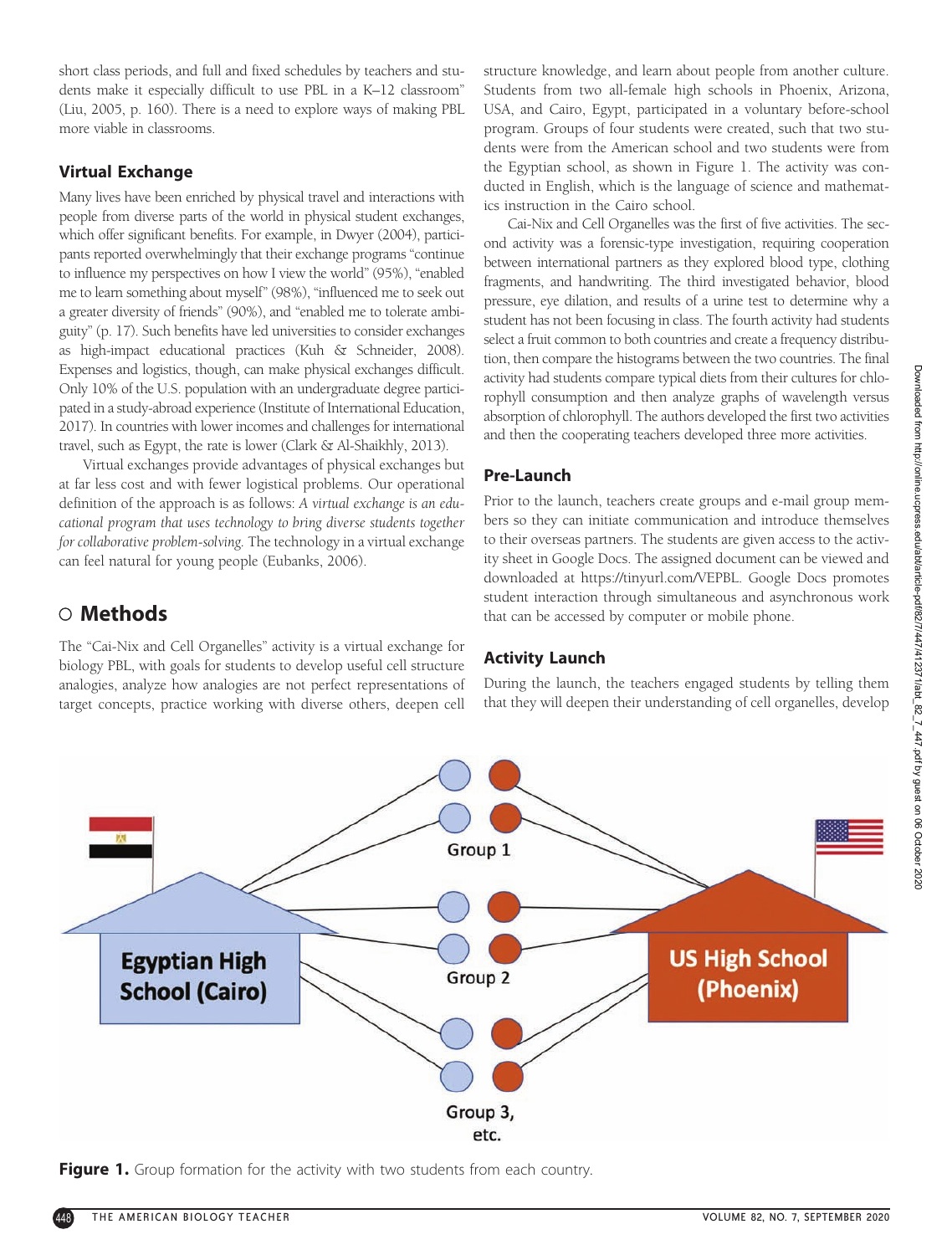short class periods, and full and fixed schedules by teachers and students make it especially difficult to use PBL in a K–12 classroom" (Liu, 2005, p. 160). There is a need to explore ways of making PBL more viable in classrooms.

## Virtual Exchange

Many lives have been enriched by physical travel and interactions with people from diverse parts of the world in physical student exchanges, which offer significant benefits. For example, in Dwyer (2004), participants reported overwhelmingly that their exchange programs "continue to influence my perspectives on how I view the world" (95%), "enabled me to learn something about myself" (98%), "influenced me to seek out a greater diversity of friends" (90%), and "enabled me to tolerate ambiguity" (p. 17). Such benefits have led universities to consider exchanges as high-impact educational practices (Kuh & Schneider, 2008). Expenses and logistics, though, can make physical exchanges difficult. Only 10% of the U.S. population with an undergraduate degree participated in a study-abroad experience (Institute of International Education, 2017). In countries with lower incomes and challenges for international travel, such as Egypt, the rate is lower (Clark & Al-Shaikhly, 2013).

Virtual exchanges provide advantages of physical exchanges but at far less cost and with fewer logistical problems. Our operational definition of the approach is as follows: A virtual exchange is an educational program that uses technology to bring diverse students together for collaborative problem-solving. The technology in a virtual exchange can feel natural for young people (Eubanks, 2006).

# Methods

The "Cai-Nix and Cell Organelles" activity is a virtual exchange for biology PBL, with goals for students to develop useful cell structure analogies, analyze how analogies are not perfect representations of target concepts, practice working with diverse others, deepen cell

structure knowledge, and learn about people from another culture. Students from two all-female high schools in Phoenix, Arizona, USA, and Cairo, Egypt, participated in a voluntary before-school program. Groups of four students were created, such that two students were from the American school and two students were from the Egyptian school, as shown in Figure 1. The activity was conducted in English, which is the language of science and mathematics instruction in the Cairo school.

Cai-Nix and Cell Organelles was the first of five activities. The second activity was a forensic-type investigation, requiring cooperation between international partners as they explored blood type, clothing fragments, and handwriting. The third investigated behavior, blood pressure, eye dilation, and results of a urine test to determine why a student has not been focusing in class. The fourth activity had students select a fruit common to both countries and create a frequency distribution, then compare the histograms between the two countries. The final activity had students compare typical diets from their cultures for chlorophyll consumption and then analyze graphs of wavelength versus absorption of chlorophyll. The authors developed the first two activities and then the cooperating teachers developed three more activities.

## Pre-Launch

Prior to the launch, teachers create groups and e-mail group members so they can initiate communication and introduce themselves to their overseas partners. The students are given access to the activity sheet in Google Docs. The assigned document can be viewed and downloaded at [https://tinyurl.com/VEPBL.](https://tinyurl.com/VEPBL) Google Docs promotes student interaction through simultaneous and asynchronous work that can be accessed by computer or mobile phone.

## Activity Launch

During the launch, the teachers engaged students by telling them that they will deepen their understanding of cell organelles, develop



Figure 1. Group formation for the activity with two students from each country.

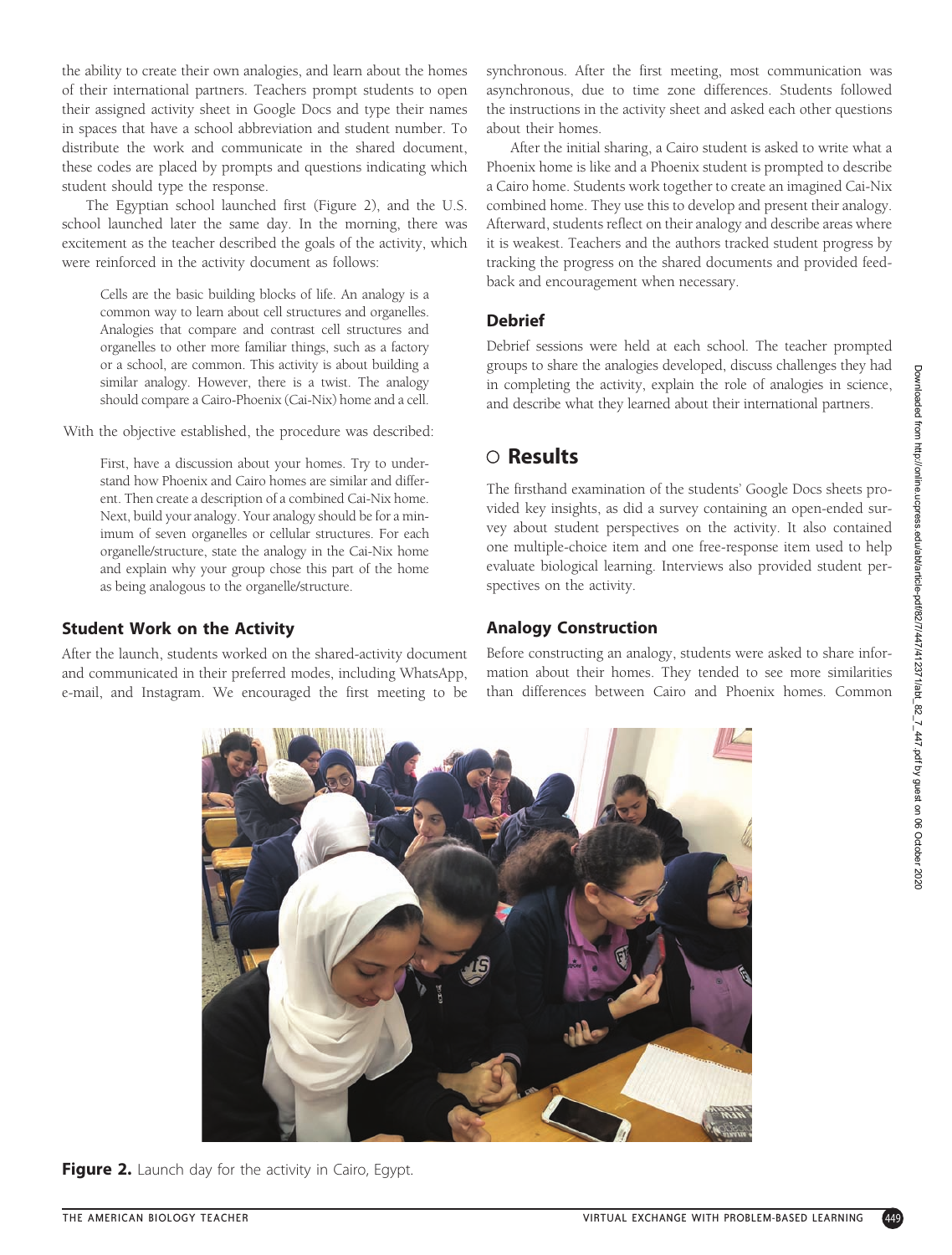the ability to create their own analogies, and learn about the homes of their international partners. Teachers prompt students to open their assigned activity sheet in Google Docs and type their names in spaces that have a school abbreviation and student number. To distribute the work and communicate in the shared document, these codes are placed by prompts and questions indicating which student should type the response.

The Egyptian school launched first (Figure 2), and the U.S. school launched later the same day. In the morning, there was excitement as the teacher described the goals of the activity, which were reinforced in the activity document as follows:

Cells are the basic building blocks of life. An analogy is a common way to learn about cell structures and organelles. Analogies that compare and contrast cell structures and organelles to other more familiar things, such as a factory or a school, are common. This activity is about building a similar analogy. However, there is a twist. The analogy should compare a Cairo-Phoenix (Cai-Nix) home and a cell.

With the objective established, the procedure was described:

First, have a discussion about your homes. Try to understand how Phoenix and Cairo homes are similar and different. Then create a description of a combined Cai-Nix home. Next, build your analogy. Your analogy should be for a minimum of seven organelles or cellular structures. For each organelle/structure, state the analogy in the Cai-Nix home and explain why your group chose this part of the home as being analogous to the organelle/structure.

#### Student Work on the Activity

After the launch, students worked on the shared-activity document and communicated in their preferred modes, including WhatsApp, e-mail, and Instagram. We encouraged the first meeting to be synchronous. After the first meeting, most communication was asynchronous, due to time zone differences. Students followed the instructions in the activity sheet and asked each other questions about their homes.

After the initial sharing, a Cairo student is asked to write what a Phoenix home is like and a Phoenix student is prompted to describe a Cairo home. Students work together to create an imagined Cai-Nix combined home. They use this to develop and present their analogy. Afterward, students reflect on their analogy and describe areas where it is weakest. Teachers and the authors tracked student progress by tracking the progress on the shared documents and provided feedback and encouragement when necessary.

#### Debrief

Debrief sessions were held at each school. The teacher prompted groups to share the analogies developed, discuss challenges they had in completing the activity, explain the role of analogies in science, and describe what they learned about their international partners.

## ○ Results

The firsthand examination of the students' Google Docs sheets provided key insights, as did a survey containing an open-ended survey about student perspectives on the activity. It also contained one multiple-choice item and one free-response item used to help evaluate biological learning. Interviews also provided student perspectives on the activity.

### Analogy Construction

Before constructing an analogy, students were asked to share information about their homes. They tended to see more similarities than differences between Cairo and Phoenix homes. Common

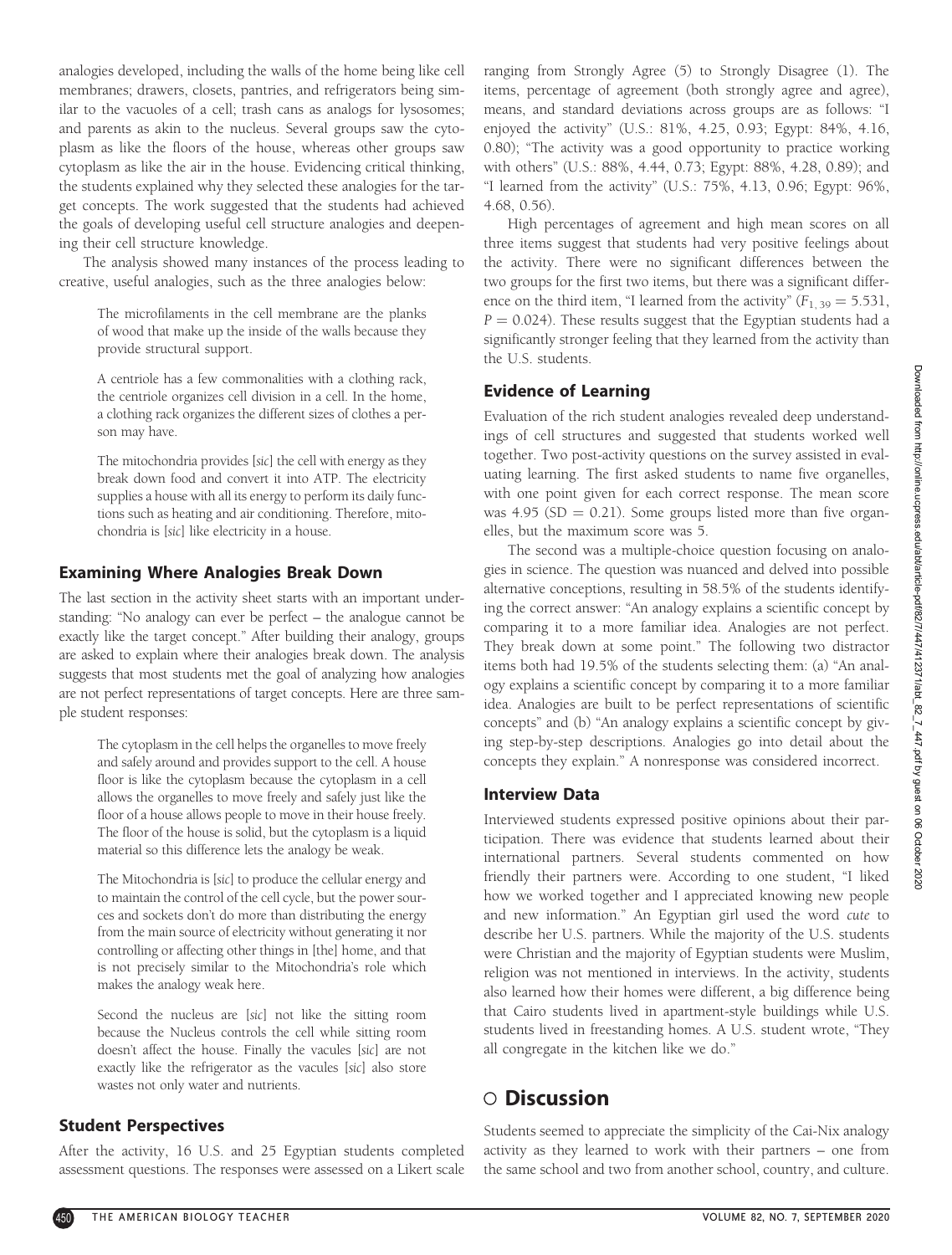analogies developed, including the walls of the home being like cell membranes; drawers, closets, pantries, and refrigerators being similar to the vacuoles of a cell; trash cans as analogs for lysosomes; and parents as akin to the nucleus. Several groups saw the cytoplasm as like the floors of the house, whereas other groups saw cytoplasm as like the air in the house. Evidencing critical thinking, the students explained why they selected these analogies for the target concepts. The work suggested that the students had achieved the goals of developing useful cell structure analogies and deepening their cell structure knowledge.

The analysis showed many instances of the process leading to creative, useful analogies, such as the three analogies below:

The microfilaments in the cell membrane are the planks of wood that make up the inside of the walls because they provide structural support.

A centriole has a few commonalities with a clothing rack, the centriole organizes cell division in a cell. In the home, a clothing rack organizes the different sizes of clothes a person may have.

The mitochondria provides [sic] the cell with energy as they break down food and convert it into ATP. The electricity supplies a house with all its energy to perform its daily functions such as heating and air conditioning. Therefore, mitochondria is [sic] like electricity in a house.

#### Examining Where Analogies Break Down

The last section in the activity sheet starts with an important understanding: "No analogy can ever be perfect – the analogue cannot be exactly like the target concept." After building their analogy, groups are asked to explain where their analogies break down. The analysis suggests that most students met the goal of analyzing how analogies are not perfect representations of target concepts. Here are three sample student responses:

The cytoplasm in the cell helps the organelles to move freely and safely around and provides support to the cell. A house floor is like the cytoplasm because the cytoplasm in a cell allows the organelles to move freely and safely just like the floor of a house allows people to move in their house freely. The floor of the house is solid, but the cytoplasm is a liquid material so this difference lets the analogy be weak.

The Mitochondria is [sic] to produce the cellular energy and to maintain the control of the cell cycle, but the power sources and sockets don't do more than distributing the energy from the main source of electricity without generating it nor controlling or affecting other things in [the] home, and that is not precisely similar to the Mitochondria's role which makes the analogy weak here.

Second the nucleus are [sic] not like the sitting room because the Nucleus controls the cell while sitting room doesn't affect the house. Finally the vacules [sic] are not exactly like the refrigerator as the vacules [sic] also store wastes not only water and nutrients.

#### Student Perspectives

After the activity, 16 U.S. and 25 Egyptian students completed assessment questions. The responses were assessed on a Likert scale

ranging from Strongly Agree (5) to Strongly Disagree (1). The items, percentage of agreement (both strongly agree and agree), means, and standard deviations across groups are as follows: "I enjoyed the activity" (U.S.: 81%, 4.25, 0.93; Egypt: 84%, 4.16, 0.80); "The activity was a good opportunity to practice working with others" (U.S.: 88%, 4.44, 0.73; Egypt: 88%, 4.28, 0.89); and "I learned from the activity" (U.S.: 75%, 4.13, 0.96; Egypt: 96%, 4.68, 0.56).

High percentages of agreement and high mean scores on all three items suggest that students had very positive feelings about the activity. There were no significant differences between the two groups for the first two items, but there was a significant difference on the third item, "I learned from the activity"  $(F_{1, 39} = 5.531,$  $P = 0.024$ ). These results suggest that the Egyptian students had a significantly stronger feeling that they learned from the activity than the U.S. students.

## Evidence of Learning

Evaluation of the rich student analogies revealed deep understandings of cell structures and suggested that students worked well together. Two post-activity questions on the survey assisted in evaluating learning. The first asked students to name five organelles, with one point given for each correct response. The mean score was  $4.95$  (SD = 0.21). Some groups listed more than five organelles, but the maximum score was 5.

The second was a multiple-choice question focusing on analogies in science. The question was nuanced and delved into possible alternative conceptions, resulting in 58.5% of the students identifying the correct answer: "An analogy explains a scientific concept by comparing it to a more familiar idea. Analogies are not perfect. They break down at some point." The following two distractor items both had 19.5% of the students selecting them: (a) "An analogy explains a scientific concept by comparing it to a more familiar idea. Analogies are built to be perfect representations of scientific concepts" and (b) "An analogy explains a scientific concept by giving step-by-step descriptions. Analogies go into detail about the concepts they explain." A nonresponse was considered incorrect.

#### Interview Data

Interviewed students expressed positive opinions about their participation. There was evidence that students learned about their international partners. Several students commented on how friendly their partners were. According to one student, "I liked how we worked together and I appreciated knowing new people and new information." An Egyptian girl used the word cute to describe her U.S. partners. While the majority of the U.S. students were Christian and the majority of Egyptian students were Muslim, religion was not mentioned in interviews. In the activity, students also learned how their homes were different, a big difference being that Cairo students lived in apartment-style buildings while U.S. students lived in freestanding homes. A U.S. student wrote, "They all congregate in the kitchen like we do."

# O Discussion

Students seemed to appreciate the simplicity of the Cai-Nix analogy activity as they learned to work with their partners – one from the same school and two from another school, country, and culture.

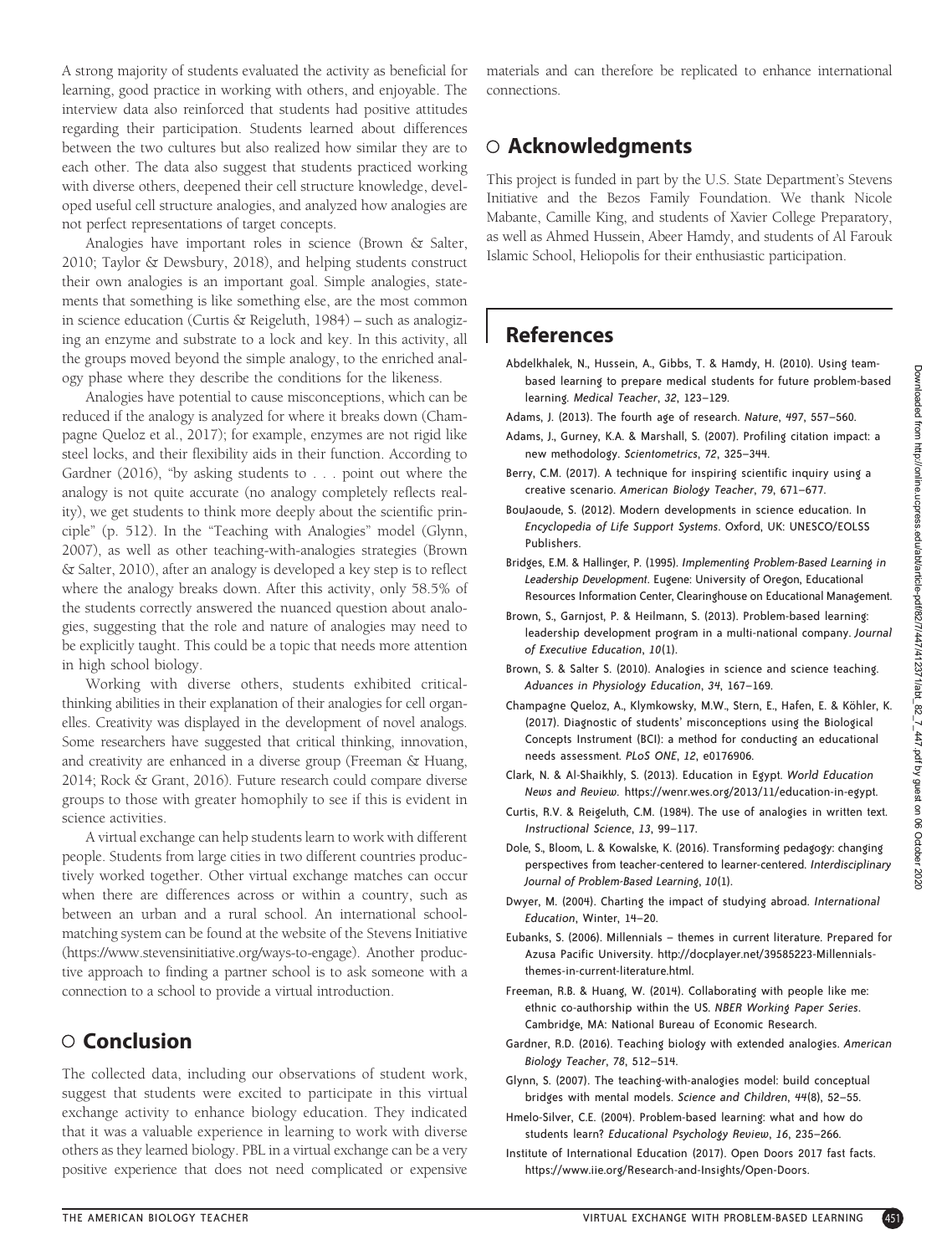A strong majority of students evaluated the activity as beneficial for learning, good practice in working with others, and enjoyable. The interview data also reinforced that students had positive attitudes regarding their participation. Students learned about differences between the two cultures but also realized how similar they are to each other. The data also suggest that students practiced working with diverse others, deepened their cell structure knowledge, developed useful cell structure analogies, and analyzed how analogies are not perfect representations of target concepts.

Analogies have important roles in science (Brown & Salter, 2010; Taylor & Dewsbury, 2018), and helping students construct their own analogies is an important goal. Simple analogies, statements that something is like something else, are the most common in science education (Curtis & Reigeluth, 1984) – such as analogizing an enzyme and substrate to a lock and key. In this activity, all the groups moved beyond the simple analogy, to the enriched analogy phase where they describe the conditions for the likeness.

Analogies have potential to cause misconceptions, which can be reduced if the analogy is analyzed for where it breaks down (Champagne Queloz et al., 2017); for example, enzymes are not rigid like steel locks, and their flexibility aids in their function. According to Gardner (2016), "by asking students to . . . point out where the analogy is not quite accurate (no analogy completely reflects reality), we get students to think more deeply about the scientific principle" (p. 512). In the "Teaching with Analogies" model (Glynn, 2007), as well as other teaching-with-analogies strategies (Brown & Salter, 2010), after an analogy is developed a key step is to reflect where the analogy breaks down. After this activity, only 58.5% of the students correctly answered the nuanced question about analogies, suggesting that the role and nature of analogies may need to be explicitly taught. This could be a topic that needs more attention in high school biology.

Working with diverse others, students exhibited criticalthinking abilities in their explanation of their analogies for cell organelles. Creativity was displayed in the development of novel analogs. Some researchers have suggested that critical thinking, innovation, and creativity are enhanced in a diverse group (Freeman & Huang, 2014; Rock & Grant, 2016). Future research could compare diverse groups to those with greater homophily to see if this is evident in science activities.

A virtual exchange can help students learn to work with different people. Students from large cities in two different countries productively worked together. Other virtual exchange matches can occur when there are differences across or within a country, such as between an urban and a rural school. An international schoolmatching system can be found at the website of the Stevens Initiative [\(https://www.stevensinitiative.org/ways-to-engage](https://www.stevensinitiative.org/ways-to-engage)). Another productive approach to finding a partner school is to ask someone with a connection to a school to provide a virtual introduction.

## $\circ$  Conclusion

The collected data, including our observations of student work, suggest that students were excited to participate in this virtual exchange activity to enhance biology education. They indicated that it was a valuable experience in learning to work with diverse others as they learned biology. PBL in a virtual exchange can be a very positive experience that does not need complicated or expensive

materials and can therefore be replicated to enhance international connections.

# $\circ$  Acknowledgments

This project is funded in part by the U.S. State Department's Stevens Initiative and the Bezos Family Foundation. We thank Nicole Mabante, Camille King, and students of Xavier College Preparatory, as well as Ahmed Hussein, Abeer Hamdy, and students of Al Farouk Islamic School, Heliopolis for their enthusiastic participation.

## References

- Abdelkhalek, N., Hussein, A., Gibbs, T. & Hamdy, H. (2010). Using teambased learning to prepare medical students for future problem-based learning. Medical Teacher, 32, 123–129.
- Adams, J. (2013). The fourth age of research. Nature, 497, 557–560.
- Adams, J., Gurney, K.A. & Marshall, S. (2007). Profiling citation impact: a new methodology. Scientometrics, 72, 325–344.
- Berry, C.M. (2017). A technique for inspiring scientific inquiry using a creative scenario. American Biology Teacher, 79, 671–677.
- BouJaoude, S. (2012). Modern developments in science education. In Encyclopedia of Life Support Systems. Oxford, UK: UNESCO/EOLSS Publishers.
- Bridges, E.M. & Hallinger, P. (1995). Implementing Problem-Based Learning in Leadership Development. Eugene: University of Oregon, Educational Resources Information Center, Clearinghouse on Educational Management.
- Brown, S., Garnjost, P. & Heilmann, S. (2013). Problem-based learning: leadership development program in a multi-national company. Journal of Executive Education, 10(1).
- Brown, S. & Salter S. (2010). Analogies in science and science teaching. Advances in Physiology Education, 34, 167–169.
- Champagne Queloz, A., Klymkowsky, M.W., Stern, E., Hafen, E. & Köhler, K. (2017). Diagnostic of students' misconceptions using the Biological Concepts Instrument (BCI): a method for conducting an educational needs assessment. PLoS ONE, 12, e0176906.
- Clark, N. & Al-Shaikhly, S. (2013). Education in Egypt. World Education News and Review. [https://wenr.wes.org/2013/11/education-in-egypt.](https://wenr.wes.org/2013/11/education-in-egypt)
- Curtis, R.V. & Reigeluth, C.M. (1984). The use of analogies in written text. Instructional Science, 13, 99–117.
- Dole, S., Bloom, L. & Kowalske, K. (2016). Transforming pedagogy: changing perspectives from teacher-centered to learner-centered. Interdisciplinary Journal of Problem-Based Learning, 10(1).
- Dwyer, M. (2004). Charting the impact of studying abroad. International Education, Winter, 14–20.
- Eubanks, S. (2006). Millennials themes in current literature. Prepared for Azusa Pacific University. [http://docplayer.net/39585223-Millennials](http://docplayer.net/39585223-Millennials-themes-in-current-literature.html)[themes-in-current-literature.html](http://docplayer.net/39585223-Millennials-themes-in-current-literature.html).
- Freeman, R.B. & Huang, W. (2014). Collaborating with people like me: ethnic co-authorship within the US. NBER Working Paper Series. Cambridge, MA: National Bureau of Economic Research.
- Gardner, R.D. (2016). Teaching biology with extended analogies. American Biology Teacher, 78, 512–514.
- Glynn, S. (2007). The teaching-with-analogies model: build conceptual bridges with mental models. Science and Children, 44(8), 52–55.
- Hmelo-Silver, C.E. (2004). Problem-based learning: what and how do students learn? Educational Psychology Review, 16, 235–266.
- Institute of International Education (2017). Open Doors 2017 fast facts. [https://www.iie.org/Research-and-Insights/Open-Doors.](https://www.iie.org/Research-and-Insights/Open-Doors)